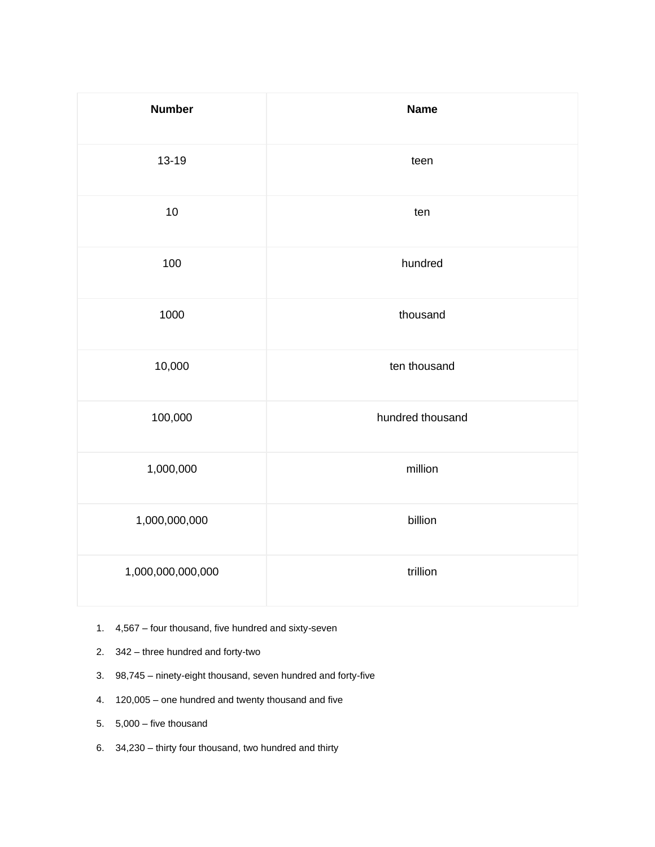| <b>Number</b>     | <b>Name</b>      |
|-------------------|------------------|
| $13 - 19$         | teen             |
| 10                | ten              |
| 100               | hundred          |
| 1000              | thousand         |
| 10,000            | ten thousand     |
| 100,000           | hundred thousand |
| 1,000,000         | million          |
| 1,000,000,000     | billion          |
| 1,000,000,000,000 | trillion         |

- 1. 4,567 four thousand, five hundred and sixty-seven
- 2. 342 three hundred and forty-two
- 3. 98,745 ninety-eight thousand, seven hundred and forty-five
- 4. 120,005 one hundred and twenty thousand and five
- 5. 5,000 five thousand
- 6. 34,230 thirty four thousand, two hundred and thirty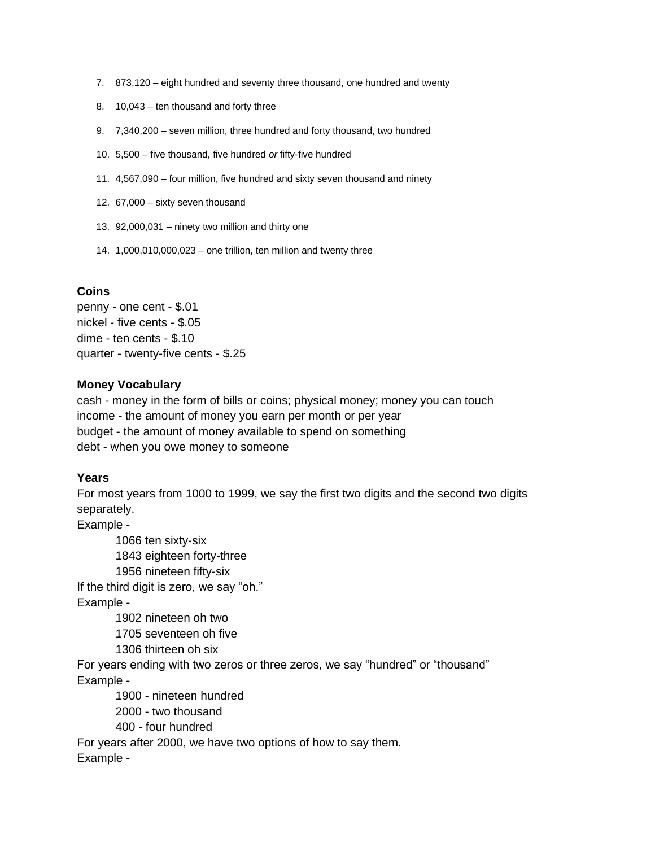- 7. 873,120 eight hundred and seventy three thousand, one hundred and twenty
- 8. 10,043 ten thousand and forty three
- 9. 7,340,200 seven million, three hundred and forty thousand, two hundred
- 10. 5,500 five thousand, five hundred *or* fifty-five hundred
- 11. 4,567,090 four million, five hundred and sixty seven thousand and ninety
- 12. 67,000 sixty seven thousand
- 13. 92,000,031 ninety two million and thirty one
- 14. 1,000,010,000,023 one trillion, ten million and twenty three

## **Coins**

penny - one cent - \$.01 nickel - five cents - \$.05 dime - ten cents - \$.10 quarter - twenty-five cents - \$.25

## **Money Vocabulary**

cash - money in the form of bills or coins; physical money; money you can touch income - the amount of money you earn per month or per year budget - the amount of money available to spend on something debt - when you owe money to someone

## **Years**

For most years from 1000 to 1999, we say the first two digits and the second two digits separately.

Example -

1066 ten sixty-six 1843 eighteen forty-three 1956 nineteen fifty-six If the third digit is zero, we say "oh." Example -

1902 nineteen oh two

1705 seventeen oh five

1306 thirteen oh six

For years ending with two zeros or three zeros, we say "hundred" or "thousand" Example -

1900 - nineteen hundred 2000 - two thousand 400 - four hundred

For years after 2000, we have two options of how to say them. Example -